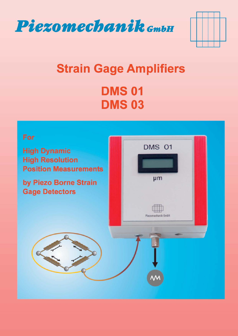



# **Strain Gage Amplifiers DMS 01 DMS03**



**High Dynamic High Resolution Position Measurements** 

by Piezo Borne Strain **Gage Detectors** 

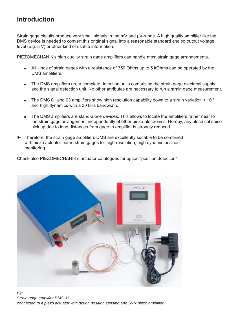# **Introduction**

Strain gage circuits produce very small signals in the mV and  $\mu$ V-range. A high quality amplifier like the DMS device is needed to convert this original signal into a reasonable standard analog output voltage level (e.g. 5 V) or other kind of usable information.

PIEZOMECHANIK's high quality strain gage amplifiers can handle most strain gage arrangements.

- All kinds of strain gages with a resistance of 350 Ohms up to 5 kOhms can be operated by the DMS amplifiers.
- The DMS amplifiers are a complete detection units comprising the strain gage electrical supply and the signal detection unit. No other attributes are necessary to run a strain gage measurement.
- The DMS 01 and 03 amplifiers show high resolution capability down to a strain variation  $\leq 10^{-6}$ and high dynamics with a 30 kHz bandwidth.
- The DMS amplifiers are stand-alone devices. This allows to locate the amplifiers rather near to the strain gage arrangement independently of other piezo-electronics. Hereby, any electrical noise pick up due to long distances from gage to amplifier is strongly reduced
- $\blacktriangleright$  Therefore, the strain gage amplifiers DMS are excellently suitable to be combined with piezo actuator borne strain gages for high resolution, high dynamic position monitoring.

Check also PIEZOMECHANIK's actuator catalogues for option "position detection"



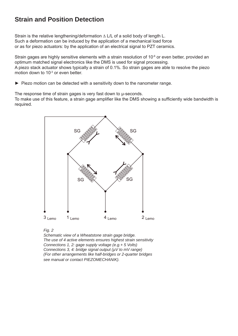# **Strain and Position Detection**

Strain is the relative lengthening/deformation ∆ L/L of a solid body of length L. Such a deformation can be induced by the application of a mechanical load force or as for piezo actuators: by the application of an electrical signal to PZT ceramics.

Strain gages are highly sensitive elements with a strain resolution of 10<sup>-6</sup> or even better, provided an optimum matched signal electronics like the DMS is used for signal processing. A piezo stack actuator shows typically a strain of 0.1%. So strain gages are able to resolve the piezo motion down to 10<sup>-3</sup> or even better.

► Piezo motion can be detected with a sensitivity down to the nanometer range.

The response time of strain gages is very fast down to **µ**-seconds.

To make use of this feature, a strain gage amplifier like the DMS showing a sufficiently wide bandwidth is required.





 *Schematic view of a Wheatstone strain gage bridge. The use of 4 active elements ensures highest strain sensitivity Connections 1, 2: gage supply voltage (e.g.+ 5 Volts) Connections 3, 4: bridge signal output (µV to mV range) (For other arrangements like half-bridges or 2-quarter bridges see manual or contact PIEZOMECHANIK).*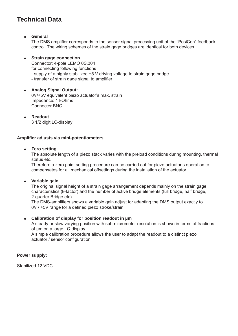## **Technical Data**

### **General**

The DMS amplifier corresponds to the sensor signal processing unit of the "PosiCon" feedback control. The wiring schemes of the strain gage bridges are identical for both devices.

 **Strain gage connection** Connector: 4-pole LEMO 0S.304 for connecting following functions - supply of a highly stabilized +5 V driving voltage to strain gage bridge - transfer of strain gage signal to amplifier

 **Analog Signal Output:** 0V/+5V equivalent piezo actuator's max. strain Impedance: 1 kOhms Connector BNC

 **Readout** 3 1/2 digit LC-display

#### **Amplifi er adjusts via mini-potentiometers**

#### **Zero setting**

The absolute length of a piezo stack varies with the preload conditions during mounting, thermal status etc.

Therefore a zero point setting procedure can be carried out for piezo actuator's operation to compensates for all mechanical offsettings during the installation of the actuator.

#### **Variable gain**

The original signal height of a strain gage arrangement depends mainly on the strain gage characteristics (k-factor) and the number of active bridge elements (full bridge, half bridge, 2-quarter Bridge etc).

The DMS-amplifiers shows a variable gain adjust for adapting the DMS output exactly to 0V / +5V range for a defined piezo stroke/strain.

#### **Calibration of display for position readout in µm**

A steady or slow varying position with sub-micrometer resolution is shown in terms of fractions of um on a large LC-display.

A simple calibration procedure allows the user to adapt the readout to a distinct piezo actuator / sensor configuration.

#### **Power supply:**

Stabilized 12 VDC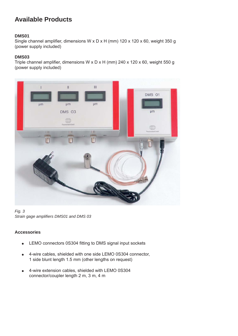# **Available Products**

## **DMS01**

Single channel amplifier, dimensions W x D x H (mm) 120 x 120 x 60, weight 350 g (power supply included)

## **DMS03**

Triple channel amplifier, dimensions W x D x H (mm) 240 x 120 x 60, weight 550 g (power supply included)



#### *Fig. 3* Strain gage amplifiers DMS01 and DMS 03

## **Accessories**

- LEMO connectors 0S304 fitting to DMS signal input sockets
- 4-wire cables, shielded with one side LEMO 0S304 connector, 1 side blunt length 1.5 mm (other lengths on request)
- 4-wire extension cables, shielded with LEMO 0S304 connector/coupler length 2 m, 3 m, 4 m